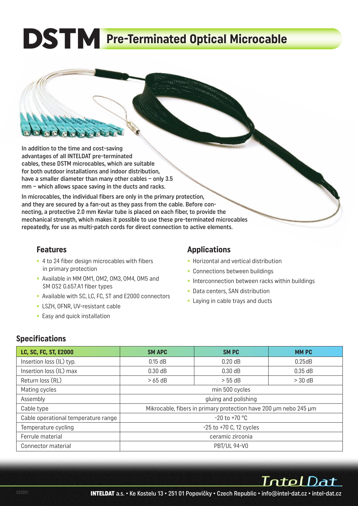# **DSTM** Pre-Terminated Optical Microcable

In addition to the time and cost-saving advantages of all INTELDAT pre-terminated cables, these DSTM microcables, which are suitable for both outdoor installations and indoor distribution, have a smaller diameter than many other cables - only 3.5 mm – which allows space saving in the ducts and racks.

In microcables, the individual fibers are only in the primary protection, and they are secured by a fan-out as they pass from the cable. Before connecting, a protective 2.0 mm Kevlar tube is placed on each fiber, to provide the mechanical strength, which makes it possible to use these pre-terminated microcables repeatedly, for use as multi-patch cords for direct connection to active elements.

#### **Features**

- 4 to 24 fiber design microcables with fibers in primary protection
- Available in MM OM1, OM2, OM3, OM4, OM5 and SM OS2 G.657.A1 fiber types
- Available with SC, LC, FC, ST and E2000 connectors
- LSZH, OFNR, UV-resistant cable
- Easy and quick installation

# **Applications**

- Horizontal and vertical distribution
- Connections between buildings
- Interconnection between racks within buildings
- Data centers, SAN distribution
- Laying in cable trays and ducts

### **Specifications**

| LC, SC, FC, ST, E2000               | <b>SM APC</b>                                                    | <b>SMPC</b>         | <b>MMPC</b> |  |  |  |  |  |
|-------------------------------------|------------------------------------------------------------------|---------------------|-------------|--|--|--|--|--|
| Insertion loss (IL) typ.            | $0.15$ dB                                                        | $0.20$ dB           | 0.25dB      |  |  |  |  |  |
| Insertion loss (IL) max             | 0.30 dB                                                          | $0.30$ dB           | $0.35$ dB   |  |  |  |  |  |
| Return loss (RL)                    | $>65$ dB                                                         | $> 55$ dB           | $>$ 30 dB   |  |  |  |  |  |
| Mating cycles                       | min 500 cycles                                                   |                     |             |  |  |  |  |  |
| Assembly                            | gluing and polishing                                             |                     |             |  |  |  |  |  |
| Cable type                          | Mikrocable, fibers in primary protection have 200 µm nebo 245 µm |                     |             |  |  |  |  |  |
| Cable operational temperature range | $-20$ to $+70$ °C                                                |                     |             |  |  |  |  |  |
| Temperature cycling                 | $-25$ to $+70$ C, 12 cycles                                      |                     |             |  |  |  |  |  |
| Ferrule material                    | ceramic zirconia                                                 |                     |             |  |  |  |  |  |
| Connector material                  |                                                                  | <b>PBT/UL 94-V0</b> |             |  |  |  |  |  |